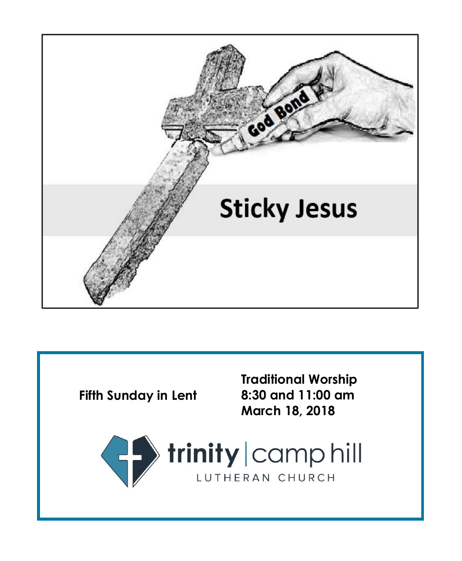

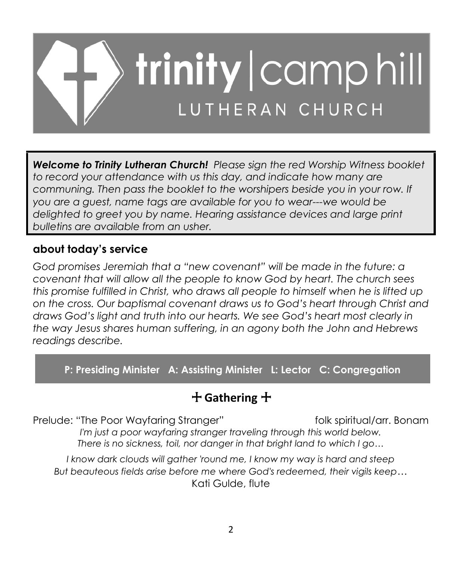

*Welcome to Trinity Lutheran Church! Please sign the red Worship Witness booklet to record your attendance with us this day, and indicate how many are communing. Then pass the booklet to the worshipers beside you in your row. If you are a guest, name tags are available for you to wear---we would be delighted to greet you by name. Hearing assistance devices and large print bulletins are available from an usher.*

# **about today's service**

*God promises Jeremiah that a "new covenant" will be made in the future: a covenant that will allow all the people to know God by heart. The church sees this promise fulfilled in Christ, who draws all people to himself when he is lifted up on the cross. Our baptismal covenant draws us to God's heart through Christ and draws God's light and truth into our hearts. We see God's heart most clearly in the way Jesus shares human suffering, in an agony both the John and Hebrews readings describe.*

**P: Presiding Minister A: Assisting Minister L: Lector C: Congregation**

# + **Gathering** +

Prelude: "The Poor Wayfaring Stranger" folk spiritual/arr. Bonam

*I'm just a poor wayfaring stranger traveling through this world below. There is no sickness, toil, nor danger in that bright land to which I go…*

*I know dark clouds will gather 'round me, I know my way is hard and steep But beauteous fields arise before me where God's redeemed, their vigils keep…* Kati Gulde, flute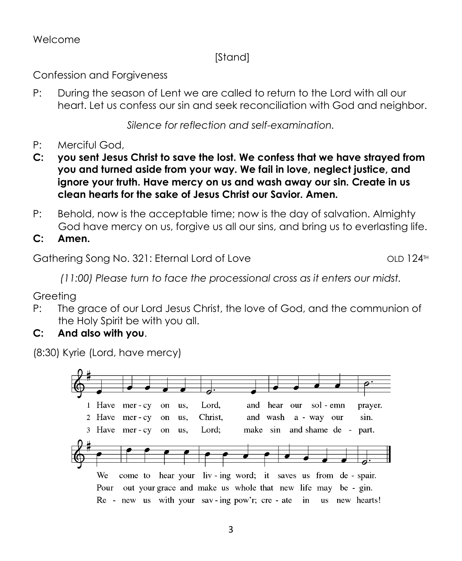#### Welcome

# [Stand]

Confession and Forgiveness

P: During the season of Lent we are called to return to the Lord with all our heart. Let us confess our sin and seek reconciliation with God and neighbor.

*Silence for reflection and self-examination.*

- P: Merciful God,
- **C: you sent Jesus Christ to save the lost. We confess that we have strayed from you and turned aside from your way. We fail in love, neglect justice, and ignore your truth. Have mercy on us and wash away our sin. Create in us clean hearts for the sake of Jesus Christ our Savior. Amen.**
- P: Behold, now is the acceptable time; now is the day of salvation. Almighty God have mercy on us, forgive us all our sins, and bring us to everlasting life.
- **C: Amen.**

Gathering Song No. 321: Eternal Lord of Love Cathering Song No. 321: Eternal Lord of Love

*(11:00) Please turn to face the processional cross as it enters our midst.*

Greeting

- P: The grace of our Lord Jesus Christ, the love of God, and the communion of the Holy Spirit be with you all.
- **C: And also with you**.

(8:30) Kyrie (Lord, have mercy)

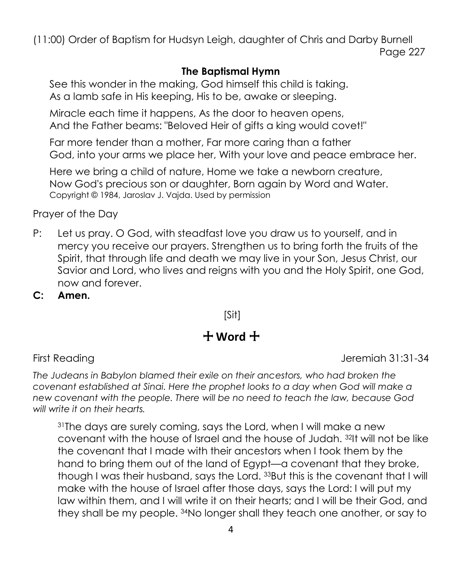(11:00) Order of Baptism for Hudsyn Leigh, daughter of Chris and Darby Burnell Page 227

#### **The Baptismal Hymn**

See this wonder in the making, God himself this child is taking. As a lamb safe in His keeping, His to be, awake or sleeping.

Miracle each time it happens, As the door to heaven opens, And the Father beams: "Beloved Heir of gifts a king would covet!"

Far more tender than a mother, Far more caring than a father God, into your arms we place her, With your love and peace embrace her.

Here we bring a child of nature, Home we take a newborn creature, Now God's precious son or daughter, Born again by Word and Water. Copyright © 1984, Jaroslav J. Vajda. Used by permission

Prayer of the Day

- P: Let us pray. O God, with steadfast love you draw us to yourself, and in mercy you receive our prayers. Strengthen us to bring forth the fruits of the Spirit, that through life and death we may live in your Son, Jesus Christ, our Savior and Lord, who lives and reigns with you and the Holy Spirit, one God, now and forever.
- **C: Amen.**

[Sit]

# + **Word** +

First Reading The Library of the Library of the United States of the Jeremiah 31:31-34

*The Judeans in Babylon blamed their exile on their ancestors, who had broken the covenant established at Sinai. Here the prophet looks to a day when God will make a new covenant with the people. There will be no need to teach the law, because God will write it on their hearts.*

<sup>31</sup>The days are surely coming, says the Lord, when I will make a new covenant with the house of Israel and the house of Judah. <sup>32</sup>It will not be like the covenant that I made with their ancestors when I took them by the hand to bring them out of the land of Egypt—a covenant that they broke, though I was their husband, says the Lord. <sup>33</sup>But this is the covenant that I will make with the house of Israel after those days, says the Lord: I will put my law within them, and I will write it on their hearts; and I will be their God, and they shall be my people. <sup>34</sup>No longer shall they teach one another, or say to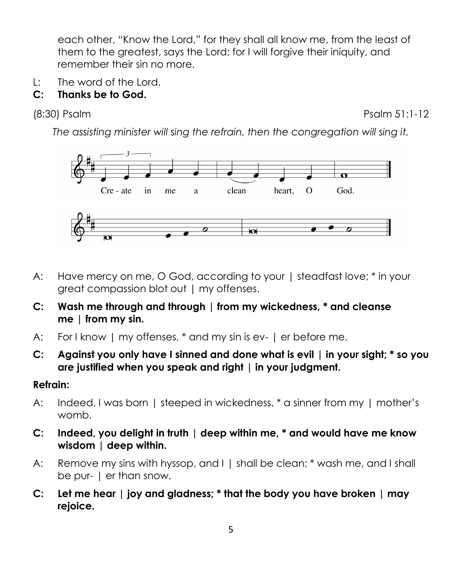each other, "Know the Lord," for they shall all know me, from the least of them to the greatest, says the Lord; for I will forgive their iniquity, and remember their sin no more.

L: The word of the Lord.

# **C: Thanks be to God.**

(8:30) Psalm **Psalm 51:1-12** 

*The assisting minister will sing the refrain, then the congregation will sing it.*



- A: Have mercy on me, O God, according to your | steadfast love; \* in your great compassion blot out | my offenses.
- **C: Wash me through and through | from my wickedness, \* and cleanse me | from my sin.**
- A: For I know | my offenses, \* and my sin is ev- | er before me.
- **C: Against you only have I sinned and done what is evil | in your sight; \* so you are justified when you speak and right | in your judgment.**

### **Refrain:**

- A: Indeed, I was born | steeped in wickedness, \* a sinner from my | mother's womb.
- **C: Indeed, you delight in truth | deep within me, \* and would have me know wisdom | deep within.**
- A: Remove my sins with hyssop, and I | shall be clean; \* wash me, and I shall be pur- | er than snow.
- **C: Let me hear | joy and gladness; \* that the body you have broken | may rejoice.**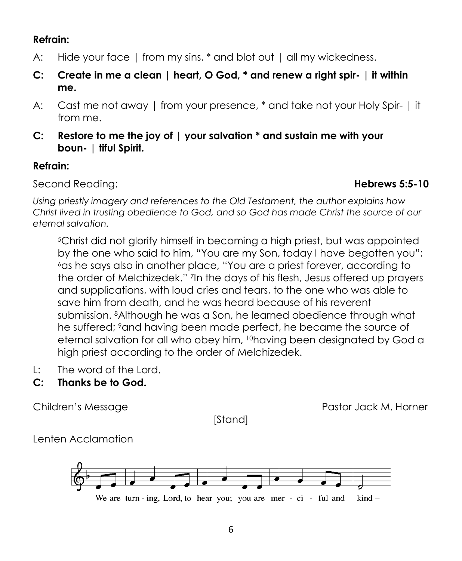### **Refrain:**

- A: Hide your face | from my sins, \* and blot out | all my wickedness.
- **C: Create in me a clean | heart, O God, \* and renew a right spir- | it within me.**
- A: Cast me not away | from your presence, \* and take not your Holy Spir- | it from me.
- **C: Restore to me the joy of | your salvation \* and sustain me with your boun- | tiful Spirit.**

# **Refrain:**

Second Reading: **Hebrews 5:5-10**

*Using priestly imagery and references to the Old Testament, the author explains how Christ lived in trusting obedience to God, and so God has made Christ the source of our eternal salvation.*

<sup>5</sup>Christ did not glorify himself in becoming a high priest, but was appointed by the one who said to him, "You are my Son, today I have begotten you"; <sup>6</sup>as he says also in another place, "You are a priest forever, according to the order of Melchizedek." <sup>7</sup> In the days of his flesh, Jesus offered up prayers and supplications, with loud cries and tears, to the one who was able to save him from death, and he was heard because of his reverent submission. <sup>8</sup>Although he was a Son, he learned obedience through what he suffered; <sup>9</sup>and having been made perfect, he became the source of eternal salvation for all who obey him, <sup>10</sup>having been designated by God a high priest according to the order of Melchizedek.

- L: The word of the Lord.
- **C: Thanks be to God.**

[Stand]

Children's Message Pastor Jack M. Horner

Lenten Acclamation

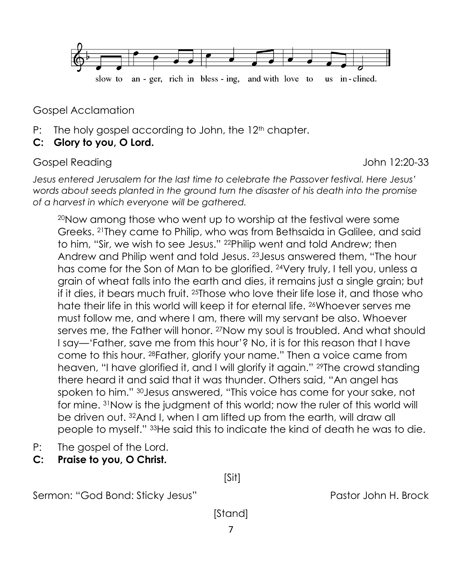

Gospel Acclamation

- P: The holy gospel according to John, the 12<sup>th</sup> chapter.
- **C: Glory to you, O Lord.**

Gospel Reading The Contract of the United States of the United States of the United States of the United States

*Jesus entered Jerusalem for the last time to celebrate the Passover festival. Here Jesus' words about seeds planted in the ground turn the disaster of his death into the promise of a harvest in which everyone will be gathered.*

<sup>20</sup>Now among those who went up to worship at the festival were some Greeks. <sup>21</sup>They came to Philip, who was from Bethsaida in Galilee, and said to him, "Sir, we wish to see Jesus." <sup>22</sup>Philip went and told Andrew; then Andrew and Philip went and told Jesus. <sup>23</sup>Jesus answered them, "The hour has come for the Son of Man to be glorified. <sup>24</sup>Very truly, I tell you, unless a grain of wheat falls into the earth and dies, it remains just a single grain; but if it dies, it bears much fruit. <sup>25</sup>Those who love their life lose it, and those who hate their life in this world will keep it for eternal life. <sup>26</sup>Whoever serves me must follow me, and where I am, there will my servant be also. Whoever serves me, the Father will honor. 27Now my soul is troubled. And what should I say—'Father, save me from this hour'? No, it is for this reason that I have come to this hour. <sup>28</sup>Father, glorify your name." Then a voice came from heaven, "I have glorified it, and I will glorify it again." <sup>29</sup>The crowd standing there heard it and said that it was thunder. Others said, "An angel has spoken to him." <sup>30</sup>Jesus answered, "This voice has come for your sake, not for mine. <sup>31</sup>Now is the judgment of this world; now the ruler of this world will be driven out. <sup>32</sup>And I, when I am lifted up from the earth, will draw all people to myself." <sup>33</sup>He said this to indicate the kind of death he was to die.

- P: The gospel of the Lord.
- **C: Praise to you, O Christ.**

Sermon: "God Bond: Sticky Jesus" Pastor John H. Brock

[Stand]

[Sit]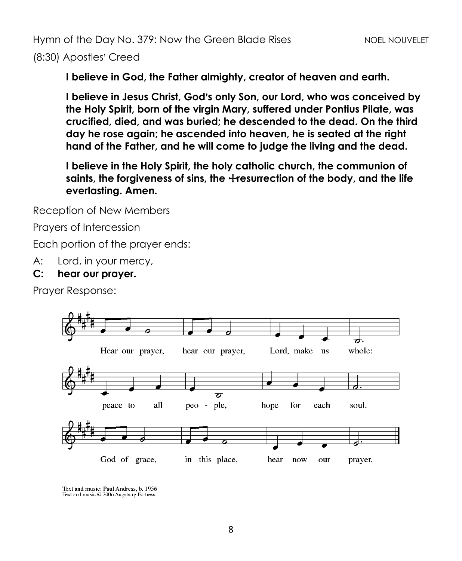(8:30) Apostles' Creed

**I believe in God, the Father almighty, creator of heaven and earth.**

**I believe in Jesus Christ, God's only Son, our Lord, who was conceived by the Holy Spirit, born of the virgin Mary, suffered under Pontius Pilate, was crucified, died, and was buried; he descended to the dead. On the third day he rose again; he ascended into heaven, he is seated at the right hand of the Father, and he will come to judge the living and the dead.**

**I believe in the Holy Spirit, the holy catholic church, the communion of**  saints, the forgiveness of sins, the *+*resurrection of the body, and the life **everlasting. Amen.**

Reception of New Members

Prayers of Intercession

Each portion of the prayer ends:

A: Lord, in your mercy,

#### **C: hear our prayer.**

Prayer Response:



Text and music: Paul Andress, b. 1956 Text and music © 2006 Augsburg Fortress.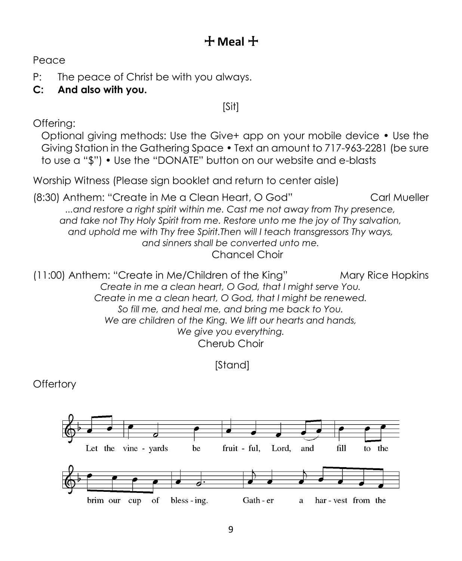# + **Meal** +

Peace

P: The peace of Christ be with you always.

# **C: And also with you.**

# [Sit]

Offering:

Optional giving methods: Use the Give+ app on your mobile device • Use the Giving Station in the Gathering Space • Text an amount to 717-963-2281 (be sure to use a "\$") • Use the "DONATE" button on our website and e-blasts

Worship Witness (Please sign booklet and return to center aisle)

(8:30) Anthem: "Create in Me a Clean Heart, O God" Carl Mueller *...and restore a right spirit within me. Cast me not away from Thy presence, and take not Thy Holy Spirit from me. Restore unto me the joy of Thy salvation, and uphold me with Thy free Spirit.Then will I teach transgressors Thy ways, and sinners shall be converted unto me.* Chancel Choir

(11:00) Anthem: "Create in Me/Children of the King" Mary Rice Hopkins *Create in me a clean heart, O God, that I might serve You. Create in me a clean heart, O God, that I might be renewed. So fill me, and heal me, and bring me back to You. We are children of the King. We lift our hearts and hands, We give you everything.* Cherub Choir

[Stand]

**Offertory** 

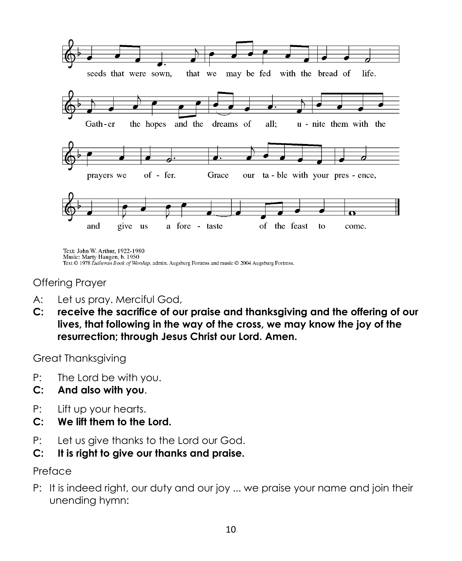

Text: John W. Arthur, 1922-1980 Music: Marty Haugen, b. 1950 Text © 1978 Lutheran Book of Worship, admin. Augsburg Fortress and music © 2004 Augsburg Fortress.

Offering Prayer

- A: Let us pray. Merciful God,
- **C: receive the sacrifice of our praise and thanksgiving and the offering of our lives, that following in the way of the cross, we may know the joy of the resurrection; through Jesus Christ our Lord. Amen.**

Great Thanksgiving

- P: The Lord be with you.
- **C: And also with you**.
- P: Lift up your hearts.
- **C: We lift them to the Lord.**
- P: Let us give thanks to the Lord our God.
- **C: It is right to give our thanks and praise.**

#### Preface

P: It is indeed right, our duty and our joy ... we praise your name and join their unending hymn: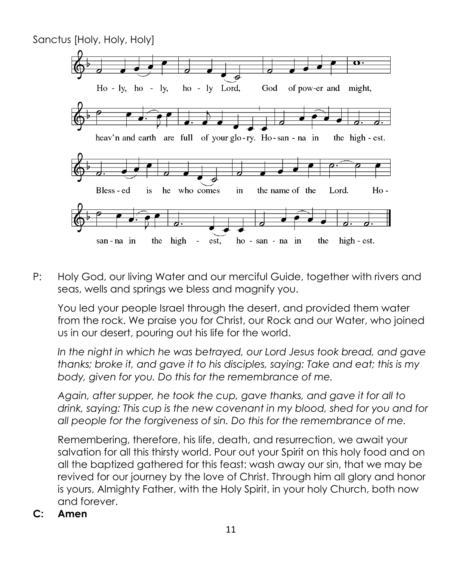

P: Holy God, our living Water and our merciful Guide, together with rivers and seas, wells and springs we bless and magnify you.

You led your people Israel through the desert, and provided them water from the rock. We praise you for Christ, our Rock and our Water, who joined us in our desert, pouring out his life for the world.

*In the night in which he was betrayed, our Lord Jesus took bread, and gave thanks; broke it, and gave it to his disciples, saying: Take and eat; this is my body, given for you. Do this for the remembrance of me.*

*Again, after supper, he took the cup, gave thanks, and gave it for all to drink, saying: This cup is the new covenant in my blood, shed for you and for all people for the forgiveness of sin. Do this for the remembrance of me.*

Remembering, therefore, his life, death, and resurrection, we await your salvation for all this thirsty world. Pour out your Spirit on this holy food and on all the baptized gathered for this feast: wash away our sin, that we may be revived for our journey by the love of Christ. Through him all glory and honor is yours, Almighty Father, with the Holy Spirit, in your holy Church, both now and forever.

**C: Amen**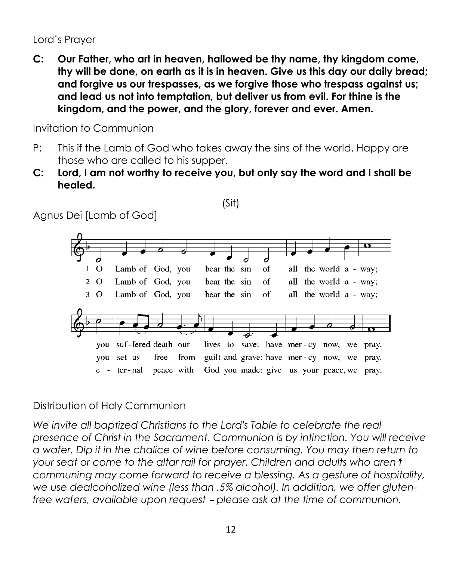Lord's Prayer

**C: Our Father, who art in heaven, hallowed be thy name, thy kingdom come, thy will be done, on earth as it is in heaven. Give us this day our daily bread; and forgive us our trespasses, as we forgive those who trespass against us; and lead us not into temptation, but deliver us from evil. For thine is the kingdom, and the power, and the glory, forever and ever. Amen.**

Invitation to Communion

- P: This if the Lamb of God who takes away the sins of the world. Happy are those who are called to his supper.
- **C: Lord, I am not worthy to receive you, but only say the word and I shall be healed.**

(Sit)

Agnus Dei [Lamb of God]



# Distribution of Holy Communion

*We invite all baptized Christians to the Lord's Table to celebrate the real presence of Christ in the Sacrament. Communion is by intinction. You will receive a wafer. Dip it in the chalice of wine before consuming. You may then return to your seat or come to the altar rail for prayer. Children and adults who aren*  $$ *communing may come forward to receive a blessing. As a gesture of hospitality, we use dealcoholized wine (less than .5% alcohol). In addition, we offer glutenfree wafers, available upon request - please ask at the time of communion.*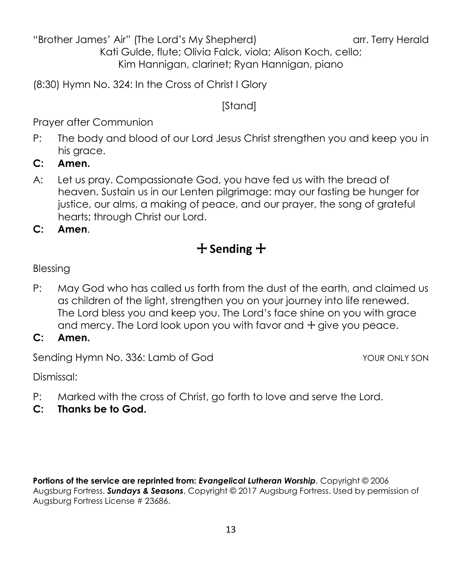"Brother James' Air" (The Lord's My Shepherd) array array array Herald

Kati Gulde, flute; Olivia Falck, viola; Alison Koch, cello; Kim Hannigan, clarinet; Ryan Hannigan, piano

(8:30) Hymn No. 324: In the Cross of Christ I Glory

[Stand]

Prayer after Communion

- P: The body and blood of our Lord Jesus Christ strengthen you and keep you in his grace.
- **C: Amen.**
- A: Let us pray. Compassionate God, you have fed us with the bread of heaven. Sustain us in our Lenten pilgrimage: may our fasting be hunger for justice, our alms, a making of peace, and our prayer, the song of grateful hearts; through Christ our Lord.

**C: Amen**.

# + **Sending** +

## Blessing

- P: May God who has called us forth from the dust of the earth, and claimed us as children of the light, strengthen you on your journey into life renewed. The Lord bless you and keep you. The Lord's face shine on you with grace and mercy. The Lord look upon you with favor and  $+$  give you peace.
- **C: Amen.**

Sending Hymn No. 336: Lamb of God Your ONLY SON

Dismissal:

- P: Marked with the cross of Christ, go forth to love and serve the Lord.
- **C: Thanks be to God.**

**Portions of the service are reprinted from:** *Evangelical Lutheran Worship*, Copyright © 2006 Augsburg Fortress. *Sundays & Seasons*, Copyright © 2017 Augsburg Fortress. Used by permission of Augsburg Fortress License # 23686.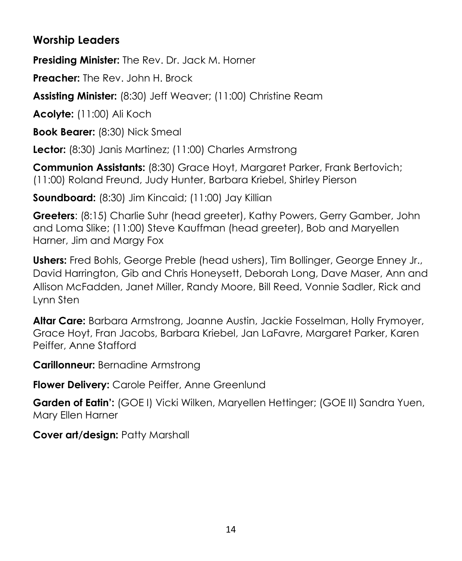# **Worship Leaders**

**Presiding Minister:** The Rev. Dr. Jack M. Horner

**Preacher:** The Rev. John H. Brock

**Assisting Minister:** (8:30) Jeff Weaver; (11:00) Christine Ream

**Acolyte:** (11:00) Ali Koch

**Book Bearer:** (8:30) Nick Smeal

**Lector:** (8:30) Janis Martinez; (11:00) Charles Armstrong

**Communion Assistants:** (8:30) Grace Hoyt, Margaret Parker, Frank Bertovich; (11:00) Roland Freund, Judy Hunter, Barbara Kriebel, Shirley Pierson

**Soundboard:** (8:30) Jim Kincaid; (11:00) Jay Killian

**Greeters**: (8:15) Charlie Suhr (head greeter), Kathy Powers, Gerry Gamber, John and Loma Slike; (11:00) Steve Kauffman (head greeter), Bob and Maryellen Harner, Jim and Margy Fox

**Ushers:** Fred Bohls, George Preble (head ushers), Tim Bollinger, George Enney Jr., David Harrington, Gib and Chris Honeysett, Deborah Long, Dave Maser, Ann and Allison McFadden, Janet Miller, Randy Moore, Bill Reed, Vonnie Sadler, Rick and Lynn Sten

**Altar Care:** Barbara Armstrong, Joanne Austin, Jackie Fosselman, Holly Frymoyer, Grace Hoyt, Fran Jacobs, Barbara Kriebel, Jan LaFavre, Margaret Parker, Karen Peiffer, Anne Stafford

**Carillonneur:** Bernadine Armstrong

**Flower Delivery:** Carole Peiffer, Anne Greenlund

**Garden of Eatin':** (GOE I) Vicki Wilken, Maryellen Hettinger; (GOE II) Sandra Yuen, Mary Ellen Harner

**Cover art/design:** Patty Marshall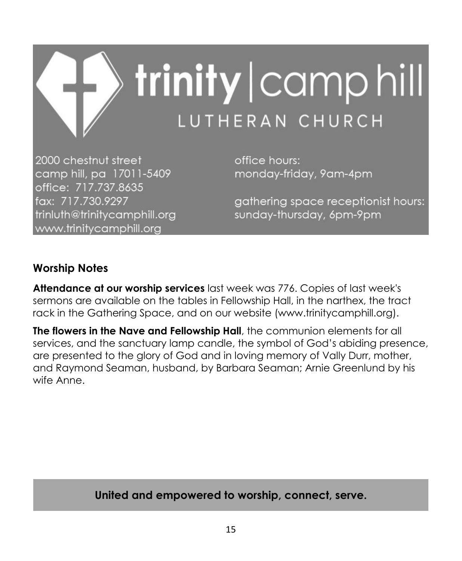

2000 chestnut street camp hill, pa 17011-5409 office: 717.737.8635 fax: 717.730.9297 trinluth@trinitycamphill.org www.trinitycamphill.org

office hours: monday-friday, 9am-4pm

gathering space receptionist hours: sunday-thursday, 6pm-9pm

# **Worship Notes**

**Attendance at our worship services** last week was 776. Copies of last week's sermons are available on the tables in Fellowship Hall, in the narthex, the tract rack in the Gathering Space, and on our website (www.trinitycamphill.org).

**The flowers in the Nave and Fellowship Hall**, the communion elements for all services, and the sanctuary lamp candle, the symbol of God's abiding presence, are presented to the glory of God and in loving memory of Vally Durr, mother, and Raymond Seaman, husband, by Barbara Seaman; Arnie Greenlund by his wife Anne.

**United and empowered to worship, connect, serve.**